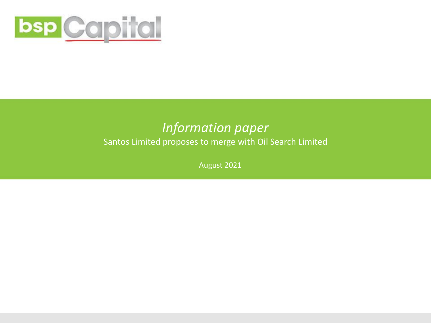

### *Information paper*

Santos Limited proposes to merge with Oil Search Limited

August 2021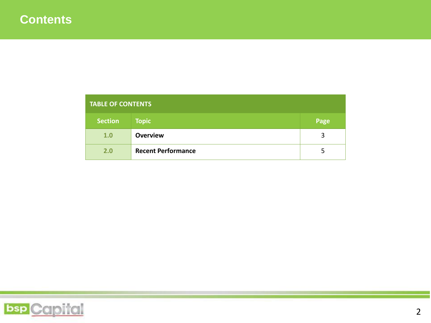| <b>TABLE OF CONTENTS</b> |                           |      |  |  |
|--------------------------|---------------------------|------|--|--|
| <b>Section</b>           | <b>Topic</b>              | Page |  |  |
| 1.0                      | <b>Overview</b>           | 3    |  |  |
| 2.0                      | <b>Recent Performance</b> | כ    |  |  |

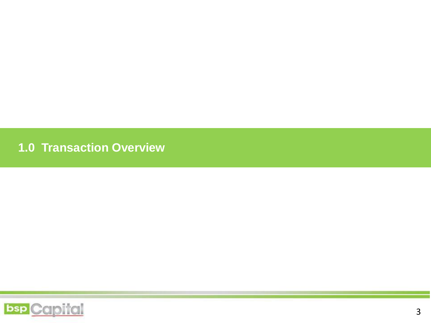**1.0 Transaction Overview**

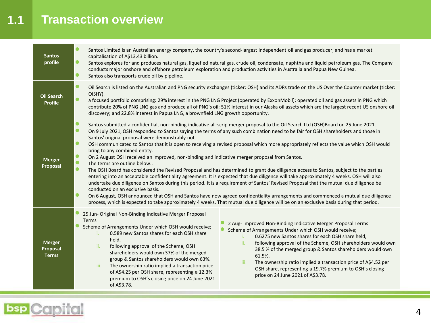### **1.1 Transaction overview**

| <b>Santos</b><br>profile                  | Santos Limited is an Australian energy company, the country's second-largest independent oil and gas producer, and has a market<br>capitalisation of A\$13.43 billion.<br>Santos explores for and produces natural gas, liquefied natural gas, crude oil, condensate, naphtha and liquid petroleum gas. The Company<br>conducts major onshore and offshore petroleum exploration and production activities in Australia and Papua New Guinea.<br>Santos also transports crude oil by pipeline.                                                                                                                                                                                                                                                                                                                                                                                                                                                                                                                                                                                                                                                                                                                                                                                                                                                                                                                                                                                    |  |  |  |  |  |
|-------------------------------------------|-----------------------------------------------------------------------------------------------------------------------------------------------------------------------------------------------------------------------------------------------------------------------------------------------------------------------------------------------------------------------------------------------------------------------------------------------------------------------------------------------------------------------------------------------------------------------------------------------------------------------------------------------------------------------------------------------------------------------------------------------------------------------------------------------------------------------------------------------------------------------------------------------------------------------------------------------------------------------------------------------------------------------------------------------------------------------------------------------------------------------------------------------------------------------------------------------------------------------------------------------------------------------------------------------------------------------------------------------------------------------------------------------------------------------------------------------------------------------------------|--|--|--|--|--|
| <b>Oil Search</b><br><b>Profile</b>       | Oil Search is listed on the Australian and PNG security exchanges (ticker: OSH) and its ADRs trade on the US Over the Counter market (ticker:<br>OISHY).<br>a focused portfolio comprising: 29% interest in the PNG LNG Project (operated by ExxonMobil); operated oil and gas assets in PNG which<br>contribute 20% of PNG LNG gas and produce all of PNG's oil; 51% interest in our Alaska oil assets which are the largest recent US onshore oil<br>discovery; and 22.8% interest in Papua LNG, a brownfield LNG growth opportunity.                                                                                                                                                                                                                                                                                                                                                                                                                                                                                                                                                                                                                                                                                                                                                                                                                                                                                                                                           |  |  |  |  |  |
| <b>Merger</b><br>Proposal                 | $\bullet$<br>Santos submitted a confidential, non-binding indicative all-scrip merger proposal to the Oil Search Ltd (OSH)Board on 25 June 2021.<br>$\bullet$<br>On 9 July 2021, OSH responded to Santos saying the terms of any such combination need to be fair for OSH shareholders and those in<br>Santos' original proposal were demonstrably not.<br>$\bullet$<br>OSH communicated to Santos that it is open to receiving a revised proposal which more appropriately reflects the value which OSH would<br>bring to any combined entity.<br>$\bullet$<br>On 2 August OSH received an improved, non-binding and indicative merger proposal from Santos.<br>$\bullet$<br>The terms are outline below<br>$\bullet$<br>The OSH Board has considered the Revised Proposal and has determined to grant due diligence access to Santos, subject to the parties<br>entering into an acceptable confidentiality agreement. It is expected that due diligence will take approximately 4 weeks. OSH will also<br>undertake due diligence on Santos during this period. It is a requirement of Santos' Revised Proposal that the mutual due diligence be<br>conducted on an exclusive basis.<br>$\bullet$<br>On 6 August, OSH announced that OSH and Santos have now agreed confidentiality arrangements and commenced a mutual due diligence<br>process, which is expected to take approximately 4 weeks. That mutual due diligence will be on an exclusive basis during that period. |  |  |  |  |  |
| <b>Merger</b><br>Proposal<br><b>Terms</b> | 25 Jun- Original Non-Binding Indicative Merger Proposal<br>Terms<br>2 Aug- Improved Non-Binding Indicative Merger Proposal Terms<br>Scheme of Arrangements Under which OSH would receive;<br>Scheme of Arrangements Under which OSH would receive;<br>0.589 new Santos shares for each OSH share<br>i.<br>0.6275 new Santos shares for each OSH share held,<br>i.<br>held,<br>following approval of the Scheme, OSH shareholders would own<br>ii.<br>following approval of the Scheme, OSH<br>ii.<br>38.5 % of the merged group & Santos shareholders would own<br>shareholders would own 37% of the merged<br>61.5%.<br>group & Santos shareholders would own 63%.<br>The ownership ratio implied a transaction price of A\$4.52 per<br>iii.<br>The ownership ratio implied a transaction price<br>iii.<br>OSH share, representing a 19.7% premium to OSH's closing<br>of A\$4.25 per OSH share, representing a 12.3%<br>price on 24 June 2021 of A\$3.78.<br>premium to OSH's closing price on 24 June 2021<br>of A\$3.78.                                                                                                                                                                                                                                                                                                                                                                                                                                                      |  |  |  |  |  |

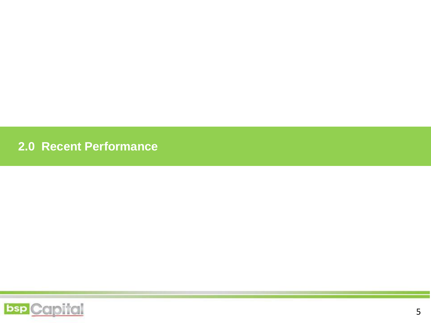**2.0 Recent Performance**

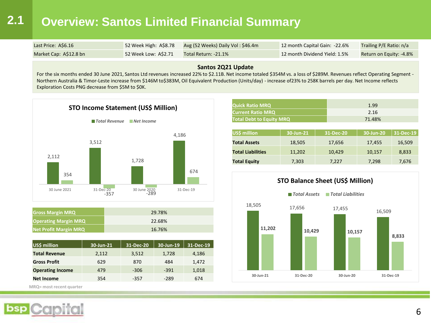## **2.1 Overview: Santos Limited Financial Summary**

| Last Price: A\$6.16    | 52 Week High: A\$8.78 | Avg (52 Weeks) Daily Vol: \$46.4m | 12 month Capital Gain: -22.6% | <b>Trailing P/E Ratio: n/a</b> |
|------------------------|-----------------------|-----------------------------------|-------------------------------|--------------------------------|
| Market Cap: A\$12.8 bn | 52 Week Low: AS2.71   | Total Return: -21.1%              | 12 month Dividend Yield: 1.5% | Return on Equity: -4.8%        |

#### **Santos 2Q21 Update**

For the six months ended 30 June 2021, Santos Ltd revenues increased 22% to \$2.11B. Net income totaled \$354M vs. a loss of \$289M. Revenues reflect Operating Segment -Northern Australia & Timor-Leste increase from \$146M to\$383M, Oil Equivalent Production (Units/day) - increase of23% to 258K barrels per day. Net Income reflects Exploration Costs PNG decrease from \$5M to \$0K.



| <b>Gross Margin MRQ</b>      | 29.78% |
|------------------------------|--------|
| <b>Operating Margin MRQ</b>  | 22.68% |
| <b>Net Profit Margin MRQ</b> | 16.76% |

| US\$ million            | 30-Jun-21 | 31-Dec-20 | 30-Jun-19 | 31-Dec-19 |
|-------------------------|-----------|-----------|-----------|-----------|
| <b>Total Revenue</b>    | 2,112     | 3,512     | 1,728     | 4,186     |
| <b>Gross Profit</b>     | 629       | 870       | 484       | 1,472     |
| <b>Operating Income</b> | 479       | $-306$    | $-391$    | 1,018     |
| <b>Net Income</b>       | 354       | $-357$    | $-289$    | 674       |

**MRQ= most recent quarter**

| <b>Quick Ratio MRQ</b>          | 1.99   |
|---------------------------------|--------|
| <b>Current Ratio MRQ</b>        | 2.16   |
| <b>Total Debt to Equity MRQ</b> | 71.48% |

| US\$ million             | 30-Jun-21 | 31-Dec-20 | 30-Jun-20 | 31-Dec-19 |
|--------------------------|-----------|-----------|-----------|-----------|
| <b>Total Assets</b>      | 18,505    | 17,656    | 17,455    | 16,509    |
| <b>Total Liabilities</b> | 11,202    | 10,429    | 10,157    | 8,833     |
| <b>Total Equity</b>      | 7,303     | 7,227     | 7,298     | 7,676     |

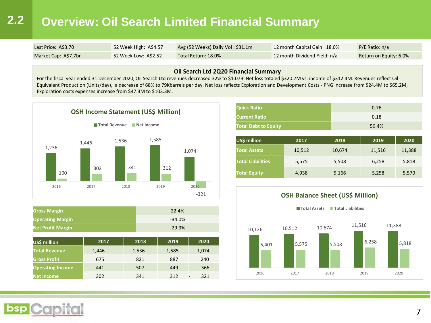### **2.2 Overview: Oil Search Limited Financial Summary**

| Last Price: A\$3.70  | 52 Week High: A\$4.57 | Avg (52 Weeks) Daily Vol: $$31.1m$ | 12 month Capital Gain: 18.0% | $P/E$ Ratio: n/a       |
|----------------------|-----------------------|------------------------------------|------------------------------|------------------------|
| Market Cap: A\$7.7bn | 52 Week Low: A\$2.52  | Total Return: 18.0%                | 12 month Dividend Yield: n/a | Return on Equity: 6.0% |

#### **Oil Search Ltd 2Q20 Financial Summary**

For the fiscal year ended 31 December 2020, Oil Search Ltd revenues decreased 32% to \$1.07B. Net loss totaled \$320.7M vs. income of \$312.4M. Revenues reflect Oil Equivalent Production (Units/day), a decrease of 68% to 79Kbarrels per day. Net loss reflects Exploration and Development Costs - PNG increase from \$24.4M to \$65.2M, Exploration costs expenses increase from \$47.3M to \$103.3M.



| <b>Gross Margin</b>      | 22.4%    |
|--------------------------|----------|
| <b>Operating Margin</b>  | $-34.0%$ |
| <b>Net Profit Margin</b> | $-29.9%$ |

| US\$ million            | 2017  | 2018  | 2019  | 2020                            |
|-------------------------|-------|-------|-------|---------------------------------|
| <b>Total Revenue</b>    | 1.446 | 1,536 | 1,585 | 1,074                           |
| <b>Gross Profit</b>     | 675   | 821   | 887   | 240                             |
| <b>Operating Income</b> | 441   | 507   | 449   | 366                             |
| Net Income              | 302   | 341   | 312   | 321<br>$\overline{\phantom{0}}$ |

| <b>Quick Ratio</b>          | 0.76  |
|-----------------------------|-------|
| <b>Current Ratio</b>        | 0.18  |
| <b>Total Debt to Equity</b> | 59.4% |

| US\$ million             | 2017   | 2018   | 2019   | 2020   |
|--------------------------|--------|--------|--------|--------|
| <b>Total Assets</b>      | 10,512 | 10,674 | 11,516 | 11,388 |
| <b>Total Liabilities</b> | 5,575  | 5,508  | 6,258  | 5,818  |
| <b>Total Equity</b>      | 4,938  | 5,166  | 5,258  | 5,570  |



#### **OSH Balance Sheet (US\$ Million)**

#### **Total Assets Total Liabilities**